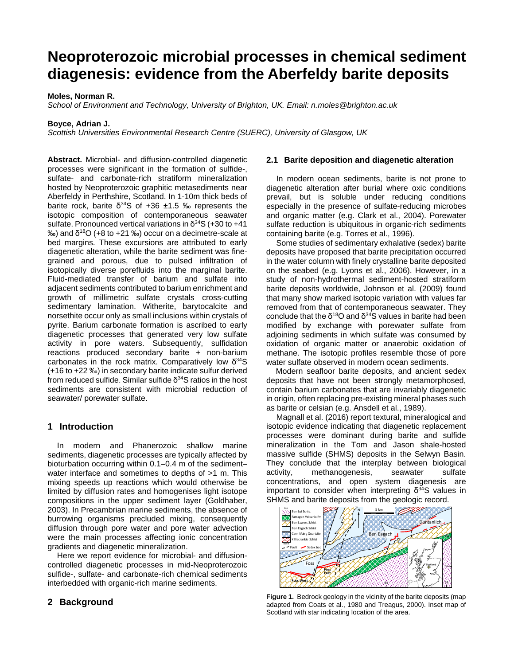# **Neoproterozoic microbial processes in chemical sediment diagenesis: evidence from the Aberfeldy barite deposits**

## **Moles, Norman R.**

*School of Environment and Technology, University of Brighton, UK. Email: n.moles@brighton.ac.uk*

#### **Boyce, Adrian J.**

*Scottish Universities Environmental Research Centre (SUERC), University of Glasgow, UK*

**Abstract.** Microbial- and diffusion-controlled diagenetic processes were significant in the formation of sulfide-, sulfate- and carbonate-rich stratiform mineralization hosted by Neoproterozoic graphitic metasediments near Aberfeldy in Perthshire, Scotland. In 1-10m thick beds of barite rock, barite  $\delta^{34}$ S of +36 ±1.5 ‰ represents the isotopic composition of contemporaneous seawater sulfate. Pronounced vertical variations in  $\delta^{34}S$  (+30 to +41 ‰) and δ18O (+8 to +21 ‰) occur on a decimetre-scale at bed margins. These excursions are attributed to early diagenetic alteration, while the barite sediment was finegrained and porous, due to pulsed infiltration of isotopically diverse porefluids into the marginal barite. Fluid-mediated transfer of barium and sulfate into adjacent sediments contributed to barium enrichment and growth of millimetric sulfate crystals cross-cutting sedimentary lamination. Witherite, barytocalcite and norsethite occur only as small inclusions within crystals of pyrite. Barium carbonate formation is ascribed to early diagenetic processes that generated very low sulfate activity in pore waters. Subsequently, sulfidation reactions produced secondary barite + non-barium carbonates in the rock matrix. Comparatively low  $\delta^{34}S$ (+16 to +22 ‰) in secondary barite indicate sulfur derived from reduced sulfide. Similar sulfide  $δ<sup>34</sup>S$  ratios in the host sediments are consistent with microbial reduction of seawater/ porewater sulfate.

## **1 Introduction**

In modern and Phanerozoic shallow marine sediments, diagenetic processes are typically affected by bioturbation occurring within 0.1–0.4 m of the sediment– water interface and sometimes to depths of >1 m. This mixing speeds up reactions which would otherwise be limited by diffusion rates and homogenises light isotope compositions in the upper sediment layer (Goldhaber, 2003). In Precambrian marine sediments, the absence of burrowing organisms precluded mixing, consequently diffusion through pore water and pore water advection were the main processes affecting ionic concentration gradients and diagenetic mineralization.

Here we report evidence for microbial- and diffusioncontrolled diagenetic processes in mid-Neoproterozoic sulfide-, sulfate- and carbonate-rich chemical sediments interbedded with organic-rich marine sediments.

## **2 Background**

## **2.1 Barite deposition and diagenetic alteration**

In modern ocean sediments, barite is not prone to diagenetic alteration after burial where oxic conditions prevail, but is soluble under reducing conditions especially in the presence of sulfate-reducing microbes and organic matter (e.g. Clark et al., 2004). Porewater sulfate reduction is ubiquitous in organic-rich sediments containing barite (e.g. Torres et al., 1996).

Some studies of sedimentary exhalative (sedex) barite deposits have proposed that barite precipitation occurred in the water column with finely crystalline barite deposited on the seabed (e.g. Lyons et al., 2006). However, in a study of non-hydrothermal sediment-hosted stratiform barite deposits worldwide, Johnson et al. (2009) found that many show marked isotopic variation with values far removed from that of contemporaneous seawater. They conclude that the  $\delta^{18}O$  and  $\delta^{34}S$  values in barite had been modified by exchange with porewater sulfate from adjoining sediments in which sulfate was consumed by oxidation of organic matter or anaerobic oxidation of methane. The isotopic profiles resemble those of pore water sulfate observed in modern ocean sediments.

Modern seafloor barite deposits, and ancient sedex deposits that have not been strongly metamorphosed, contain barium carbonates that are invariably diagenetic in origin, often replacing pre-existing mineral phases such as barite or celsian (e.g. Ansdell et al., 1989).

Magnall et al. (2016) report textural, mineralogical and isotopic evidence indicating that diagenetic replacement processes were dominant during barite and sulfide mineralization in the Tom and Jason shale-hosted massive sulfide (SHMS) deposits in the Selwyn Basin. They conclude that the interplay between biological activity, methanogenesis, seawater sulfate concentrations, and open system diagenesis are important to consider when interpreting  $\delta^{34}$ S values in SHMS and barite deposits from the geologic record.



**Figure 1.** Bedrock geology in the vicinity of the barite deposits (map adapted from Coats et al., 1980 and Treagus, 2000). Inset map of Scotland with star indicating location of the area.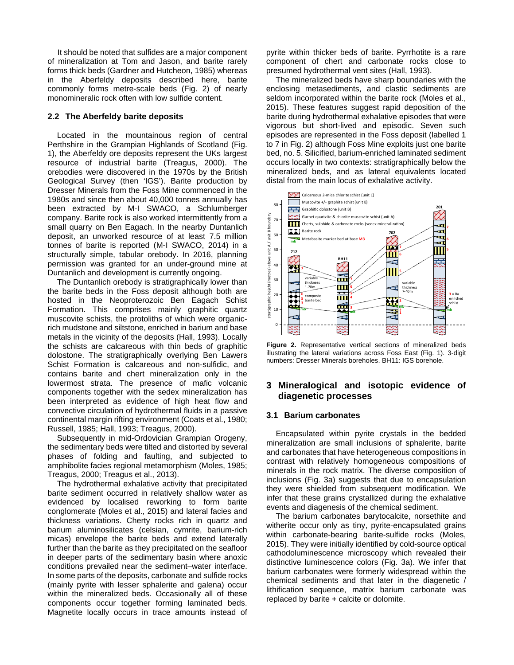It should be noted that sulfides are a major component of mineralization at Tom and Jason, and barite rarely forms thick beds (Gardner and Hutcheon, 1985) whereas in the Aberfeldy deposits described here, barite commonly forms metre-scale beds (Fig. 2) of nearly monomineralic rock often with low sulfide content.

## **2.2 The Aberfeldy barite deposits**

Located in the mountainous region of central Perthshire in the Grampian Highlands of Scotland (Fig. 1), the Aberfeldy ore deposits represent the UKs largest resource of industrial barite (Treagus, 2000). The orebodies were discovered in the 1970s by the British Geological Survey (then 'IGS'). Barite production by Dresser Minerals from the Foss Mine commenced in the 1980s and since then about 40,000 tonnes annually has been extracted by M-I SWACO, a Schlumberger company. Barite rock is also worked intermittently from a small quarry on Ben Eagach. In the nearby Duntanlich deposit, an unworked resource of at least 7.5 million tonnes of barite is reported (M-I SWACO, 2014) in a structurally simple, tabular orebody. In 2016, planning permission was granted for an under-ground mine at Duntanlich and development is currently ongoing.

The Duntanlich orebody is stratigraphically lower than the barite beds in the Foss deposit although both are hosted in the Neoproterozoic Ben Eagach Schist Formation. This comprises mainly graphitic quartz muscovite schists, the protoliths of which were organicrich mudstone and siltstone, enriched in barium and base metals in the vicinity of the deposits (Hall, 1993). Locally the schists are calcareous with thin beds of graphitic dolostone. The stratigraphically overlying Ben Lawers Schist Formation is calcareous and non-sulfidic, and contains barite and chert mineralization only in the lowermost strata. The presence of mafic volcanic components together with the sedex mineralization has been interpreted as evidence of high heat flow and convective circulation of hydrothermal fluids in a passive continental margin rifting environment (Coats et al., 1980; Russell, 1985; Hall, 1993; Treagus, 2000).

Subsequently in mid-Ordovician Grampian Orogeny, the sedimentary beds were tilted and distorted by several phases of folding and faulting, and subjected to amphibolite facies regional metamorphism (Moles, 1985; Treagus, 2000; Treagus et al., 2013).

The hydrothermal exhalative activity that precipitated barite sediment occurred in relatively shallow water as evidenced by localised reworking to form barite conglomerate (Moles et al., 2015) and lateral facies and thickness variations. Cherty rocks rich in quartz and barium aluminosilicates (celsian, cymrite, barium-rich micas) envelope the barite beds and extend laterally further than the barite as they precipitated on the seafloor in deeper parts of the sedimentary basin where anoxic conditions prevailed near the sediment–water interface. In some parts of the deposits, carbonate and sulfide rocks (mainly pyrite with lesser sphalerite and galena) occur within the mineralized beds. Occasionally all of these components occur together forming laminated beds. Magnetite locally occurs in trace amounts instead of pyrite within thicker beds of barite. Pyrrhotite is a rare component of chert and carbonate rocks close to presumed hydrothermal vent sites (Hall, 1993).

The mineralized beds have sharp boundaries with the enclosing metasediments, and clastic sediments are seldom incorporated within the barite rock (Moles et al., 2015). These features suggest rapid deposition of the barite during hydrothermal exhalative episodes that were vigorous but short-lived and episodic. Seven such episodes are represented in the Foss deposit (labelled 1 to 7 in Fig. 2) although Foss Mine exploits just one barite bed, no. 5. Silicified, barium-enriched laminated sediment occurs locally in two contexts: stratigraphically below the mineralized beds, and as lateral equivalents located distal from the main locus of exhalative activity.





# **3 Mineralogical and isotopic evidence of diagenetic processes**

#### **3.1 Barium carbonates**

Encapsulated within pyrite crystals in the bedded mineralization are small inclusions of sphalerite, barite and carbonates that have heterogeneous compositions in contrast with relatively homogeneous compositions of minerals in the rock matrix. The diverse composition of inclusions (Fig. 3a) suggests that due to encapsulation they were shielded from subsequent modification. We infer that these grains crystallized during the exhalative events and diagenesis of the chemical sediment.

The barium carbonates barytocalcite, norsethite and witherite occur only as tiny, pyrite-encapsulated grains within carbonate-bearing barite-sulfide rocks (Moles, 2015). They were initially identified by cold-source optical cathodoluminescence microscopy which revealed their distinctive luminescence colors (Fig. 3a). We infer that barium carbonates were formerly widespread within the chemical sediments and that later in the diagenetic / lithification sequence, matrix barium carbonate was replaced by barite + calcite or dolomite.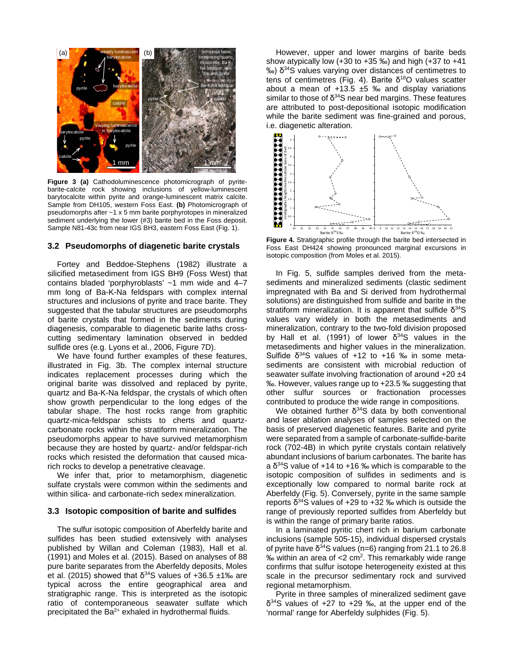

**Figure 3 (a)** Cathodoluminescence photomicrograph of pyritebarite-calcite rock showing inclusions of yellow-luminescent barytocalcite within pyrite and orange-luminescent matrix calcite. Sample from DH105, western Foss East. **(b)** Photomicrograph of pseudomorphs after ~1 x 5 mm barite porphyrotopes in mineralized sediment underlying the lower (#3) barite bed in the Foss deposit. Sample N81-43c from near IGS BH3, eastern Foss East (Fig. 1).

## **3.2 Pseudomorphs of diagenetic barite crystals**

Fortey and Beddoe-Stephens (1982) illustrate a silicified metasediment from IGS BH9 (Foss West) that contains bladed 'porphyroblasts' ~1 mm wide and 4–7 mm long of Ba-K-Na feldspars with complex internal structures and inclusions of pyrite and trace barite. They suggested that the tabular structures are pseudomorphs of barite crystals that formed in the sediments during diagenesis, comparable to diagenetic barite laths crosscutting sedimentary lamination observed in bedded sulfide ores (e.g. Lyons et al., 2006, Figure 7D).

We have found further examples of these features, illustrated in Fig. 3b. The complex internal structure indicates replacement processes during which the original barite was dissolved and replaced by pyrite, quartz and Ba-K-Na feldspar, the crystals of which often show growth perpendicular to the long edges of the tabular shape. The host rocks range from graphitic quartz-mica-feldspar schists to cherts and quartzcarbonate rocks within the stratiform mineralization. The pseudomorphs appear to have survived metamorphism because they are hosted by quartz- and/or feldspar-rich rocks which resisted the deformation that caused micarich rocks to develop a penetrative cleavage.

We infer that, prior to metamorphism, diagenetic sulfate crystals were common within the sediments and within silica- and carbonate-rich sedex mineralization.

#### **3.3 Isotopic composition of barite and sulfides**

The sulfur isotopic composition of Aberfeldy barite and sulfides has been studied extensively with analyses published by Willan and Coleman (1983), Hall et al. (1991) and Moles et al. (2015). Based on analyses of 88 pure barite separates from the Aberfeldy deposits, Moles et al. (2015) showed that  $δ<sup>34</sup>S$  values of +36.5 ±1‰ are typical across the entire geographical area and stratigraphic range. This is interpreted as the isotopic ratio of contemporaneous seawater sulfate which precipitated the  $Ba^{2+}$  exhaled in hydrothermal fluids.

However, upper and lower margins of barite beds show atypically low  $(+30$  to  $+35$  ‰) and high  $(+37)$  to  $+41$  $\%$ ) δ<sup>34</sup>S values varying over distances of centimetres to tens of centimetres (Fig. 4). Barite δ<sup>18</sup>O values scatter about a mean of  $+13.5 \pm 5$  ‰ and display variations similar to those of  $\delta^{34}$ S near bed margins. These features are attributed to post-depositional isotopic modification while the barite sediment was fine-grained and porous, i.e. diagenetic alteration.



**Figure 4.** Stratigraphic profile through the barite bed intersected in Foss East DH424 showing pronounced marginal excursions in isotopic composition (from Moles et al. 2015).

In Fig. 5, sulfide samples derived from the metasediments and mineralized sediments (clastic sediment impregnated with Ba and Si derived from hydrothermal solutions) are distinguished from sulfide and barite in the stratiform mineralization. It is apparent that sulfide  $\delta^{34}S$ values vary widely in both the metasediments and mineralization, contrary to the two-fold division proposed by Hall et al. (1991) of lower  $\delta^{34}$ S values in the metasediments and higher values in the mineralization. Sulfide  $δ<sup>34</sup>S$  values of +12 to +16 ‰ in some metasediments are consistent with microbial reduction of seawater sulfate involving fractionation of around +20 ±4 ‰. However, values range up to +23.5 ‰ suggesting that other sulfur sources or fractionation processes contributed to produce the wide range in compositions.

We obtained further  $δ<sup>34</sup>S$  data by both conventional and laser ablation analyses of samples selected on the basis of preserved diagenetic features. Barite and pyrite were separated from a sample of carbonate-sulfide-barite rock (702-4B) in which pyrite crystals contain relatively abundant inclusions of barium carbonates. The barite has a  $\delta^{34}$ S value of +14 to +16 ‰ which is comparable to the isotopic composition of sulfides in sediments and is exceptionally low compared to normal barite rock at Aberfeldy (Fig. 5). Conversely, pyrite in the same sample reports  $δ<sup>34</sup>S$  values of +29 to +32 ‰ which is outside the range of previously reported sulfides from Aberfeldy but is within the range of primary barite ratios.

In a laminated pyritic chert rich in barium carbonate inclusions (sample 505-15), individual dispersed crystals of pyrite have  $\delta^{34}$ S values (n=6) ranging from 21.1 to 26.8  $%$  within an area of  $<$ 2 cm<sup>2</sup>. This remarkably wide range confirms that sulfur isotope heterogeneity existed at this scale in the precursor sedimentary rock and survived regional metamorphism.

Pyrite in three samples of mineralized sediment gave δ34S values of +27 to +29 ‰, at the upper end of the 'normal' range for Aberfeldy sulphides (Fig. 5).